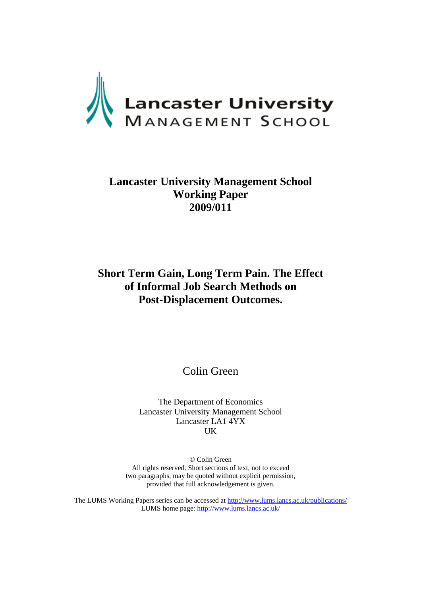

# **Lancaster University Management School Working Paper 2009/011**

# **Short Term Gain, Long Term Pain. The Effect of Informal Job Search Methods on Post-Displacement Outcomes.**

Colin Green

The Department of Economics Lancaster University Management School Lancaster LA1 4YX UK

© Colin Green All rights reserved. Short sections of text, not to exceed two paragraphs, may be quoted without explicit permission, provided that full acknowledgement is given.

The LUMS Working Papers series can be accessed at http://www.lums.lancs.ac.uk/publications/ LUMS home page: http://www.lums.lancs.ac.uk/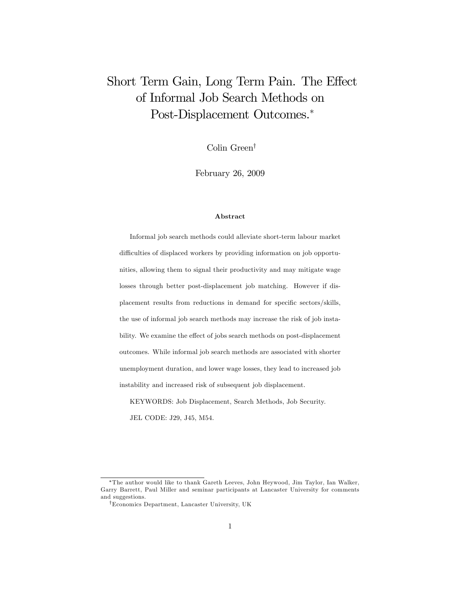# Short Term Gain, Long Term Pain. The Effect of Informal Job Search Methods on Post-Displacement Outcomes.

Colin Green<sup>†</sup>

February 26, 2009

#### Abstract

Informal job search methods could alleviate short-term labour market difficulties of displaced workers by providing information on job opportunities, allowing them to signal their productivity and may mitigate wage losses through better post-displacement job matching. However if displacement results from reductions in demand for specific sectors/skills, the use of informal job search methods may increase the risk of job instability. We examine the effect of jobs search methods on post-displacement outcomes. While informal job search methods are associated with shorter unemployment duration, and lower wage losses, they lead to increased job instability and increased risk of subsequent job displacement.

KEYWORDS: Job Displacement, Search Methods, Job Security. JEL CODE: J29, J45, M54.

The author would like to thank Gareth Leeves, John Heywood, Jim Taylor, Ian Walker, Garry Barrett, Paul Miller and seminar participants at Lancaster University for comments and suggestions.

<sup>&</sup>lt;sup>†</sup>Economics Department, Lancaster University, UK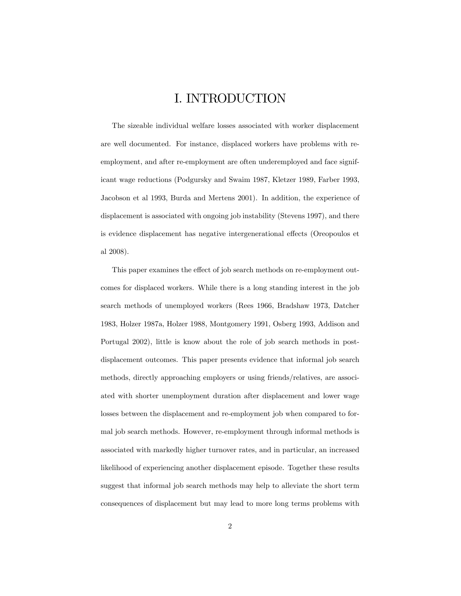# I. INTRODUCTION

The sizeable individual welfare losses associated with worker displacement are well documented. For instance, displaced workers have problems with reemployment, and after re-employment are often underemployed and face significant wage reductions (Podgursky and Swaim 1987, Kletzer 1989, Farber 1993, Jacobson et al 1993, Burda and Mertens 2001). In addition, the experience of displacement is associated with ongoing job instability (Stevens 1997), and there is evidence displacement has negative intergenerational effects (Oreopoulos et al 2008).

This paper examines the effect of job search methods on re-employment outcomes for displaced workers. While there is a long standing interest in the job search methods of unemployed workers (Rees 1966, Bradshaw 1973, Datcher 1983, Holzer 1987a, Holzer 1988, Montgomery 1991, Osberg 1993, Addison and Portugal 2002), little is know about the role of job search methods in postdisplacement outcomes. This paper presents evidence that informal job search methods, directly approaching employers or using friends/relatives, are associated with shorter unemployment duration after displacement and lower wage losses between the displacement and re-employment job when compared to formal job search methods. However, re-employment through informal methods is associated with markedly higher turnover rates, and in particular, an increased likelihood of experiencing another displacement episode. Together these results suggest that informal job search methods may help to alleviate the short term consequences of displacement but may lead to more long terms problems with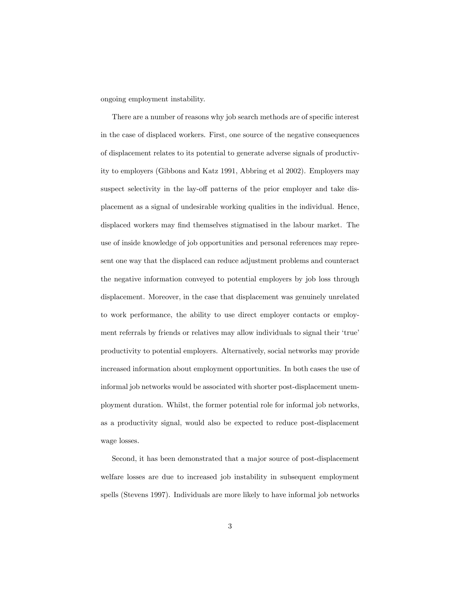ongoing employment instability.

There are a number of reasons why job search methods are of specific interest in the case of displaced workers. First, one source of the negative consequences of displacement relates to its potential to generate adverse signals of productivity to employers (Gibbons and Katz 1991, Abbring et al 2002). Employers may suspect selectivity in the lay-off patterns of the prior employer and take displacement as a signal of undesirable working qualities in the individual. Hence, displaced workers may find themselves stigmatised in the labour market. The use of inside knowledge of job opportunities and personal references may represent one way that the displaced can reduce adjustment problems and counteract the negative information conveyed to potential employers by job loss through displacement. Moreover, in the case that displacement was genuinely unrelated to work performance, the ability to use direct employer contacts or employment referrals by friends or relatives may allow individuals to signal their 'true' productivity to potential employers. Alternatively, social networks may provide increased information about employment opportunities. In both cases the use of informal job networks would be associated with shorter post-displacement unemployment duration. Whilst, the former potential role for informal job networks, as a productivity signal, would also be expected to reduce post-displacement wage losses.

Second, it has been demonstrated that a major source of post-displacement welfare losses are due to increased job instability in subsequent employment spells (Stevens 1997). Individuals are more likely to have informal job networks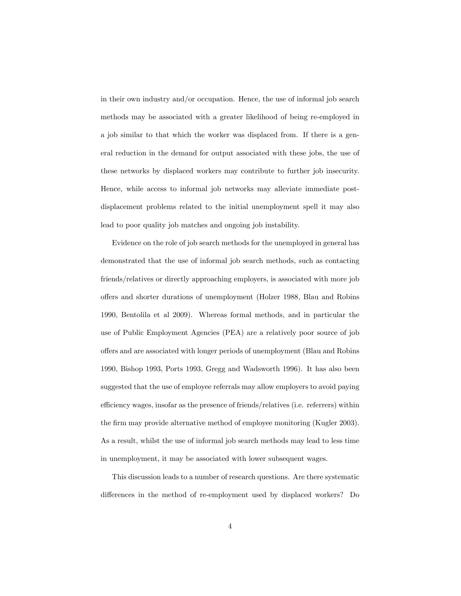in their own industry and/or occupation. Hence, the use of informal job search methods may be associated with a greater likelihood of being re-employed in a job similar to that which the worker was displaced from. If there is a general reduction in the demand for output associated with these jobs, the use of these networks by displaced workers may contribute to further job insecurity. Hence, while access to informal job networks may alleviate immediate postdisplacement problems related to the initial unemployment spell it may also lead to poor quality job matches and ongoing job instability.

Evidence on the role of job search methods for the unemployed in general has demonstrated that the use of informal job search methods, such as contacting friends/relatives or directly approaching employers, is associated with more job offers and shorter durations of unemployment (Holzer 1988, Blau and Robins 1990, Bentolila et al 2009). Whereas formal methods, and in particular the use of Public Employment Agencies (PEA) are a relatively poor source of job offers and are associated with longer periods of unemployment (Blau and Robins 1990, Bishop 1993, Ports 1993, Gregg and Wadsworth 1996). It has also been suggested that the use of employee referrals may allow employers to avoid paying efficiency wages, insofar as the presence of friends/relatives (i.e. referrers) within the firm may provide alternative method of employee monitoring (Kugler 2003). As a result, whilst the use of informal job search methods may lead to less time in unemployment, it may be associated with lower subsequent wages.

This discussion leads to a number of research questions. Are there systematic differences in the method of re-employment used by displaced workers? Do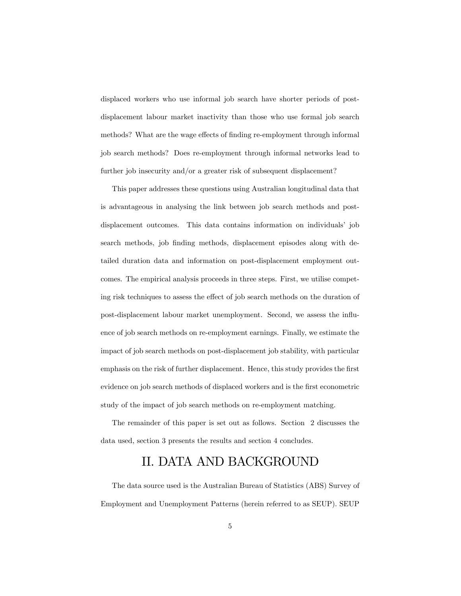displaced workers who use informal job search have shorter periods of postdisplacement labour market inactivity than those who use formal job search methods? What are the wage effects of finding re-employment through informal job search methods? Does re-employment through informal networks lead to further job insecurity and/or a greater risk of subsequent displacement?

This paper addresses these questions using Australian longitudinal data that is advantageous in analysing the link between job search methods and postdisplacement outcomes. This data contains information on individuals' job search methods, job finding methods, displacement episodes along with detailed duration data and information on post-displacement employment outcomes. The empirical analysis proceeds in three steps. First, we utilise competing risk techniques to assess the effect of job search methods on the duration of post-displacement labour market unemployment. Second, we assess the influence of job search methods on re-employment earnings. Finally, we estimate the impact of job search methods on post-displacement job stability, with particular emphasis on the risk of further displacement. Hence, this study provides the first evidence on job search methods of displaced workers and is the first econometric study of the impact of job search methods on re-employment matching.

The remainder of this paper is set out as follows. Section 2 discusses the data used, section 3 presents the results and section 4 concludes.

# II. DATA AND BACKGROUND

The data source used is the Australian Bureau of Statistics (ABS) Survey of Employment and Unemployment Patterns (herein referred to as SEUP). SEUP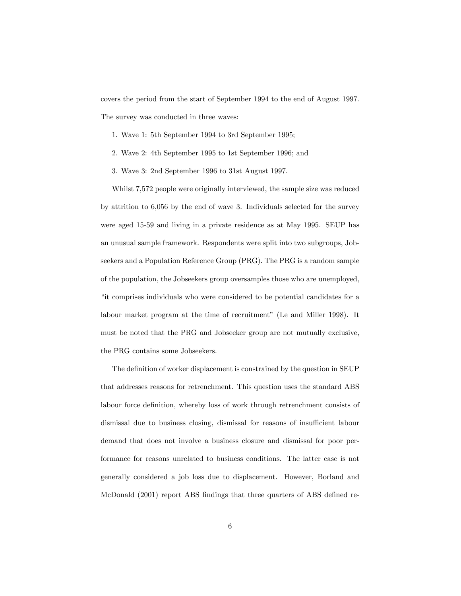covers the period from the start of September 1994 to the end of August 1997. The survey was conducted in three waves:

- 1. Wave 1: 5th September 1994 to 3rd September 1995;
- 2. Wave 2: 4th September 1995 to 1st September 1996; and
- 3. Wave 3: 2nd September 1996 to 31st August 1997.

Whilst 7,572 people were originally interviewed, the sample size was reduced by attrition to 6,056 by the end of wave 3. Individuals selected for the survey were aged 15-59 and living in a private residence as at May 1995. SEUP has an unusual sample framework. Respondents were split into two subgroups, Jobseekers and a Population Reference Group (PRG). The PRG is a random sample of the population, the Jobseekers group oversamples those who are unemployed, "it comprises individuals who were considered to be potential candidates for a labour market program at the time of recruitment" (Le and Miller 1998). It must be noted that the PRG and Jobseeker group are not mutually exclusive, the PRG contains some Jobseekers.

The definition of worker displacement is constrained by the question in SEUP that addresses reasons for retrenchment. This question uses the standard ABS labour force definition, whereby loss of work through retrenchment consists of dismissal due to business closing, dismissal for reasons of insufficient labour demand that does not involve a business closure and dismissal for poor performance for reasons unrelated to business conditions. The latter case is not generally considered a job loss due to displacement. However, Borland and McDonald (2001) report ABS findings that three quarters of ABS defined re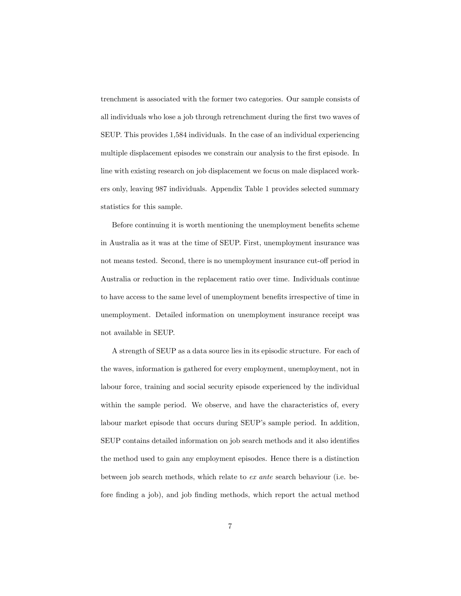trenchment is associated with the former two categories. Our sample consists of all individuals who lose a job through retrenchment during the first two waves of SEUP. This provides 1,584 individuals. In the case of an individual experiencing multiple displacement episodes we constrain our analysis to the first episode. In line with existing research on job displacement we focus on male displaced workers only, leaving 987 individuals. Appendix Table 1 provides selected summary statistics for this sample.

Before continuing it is worth mentioning the unemployment benefits scheme in Australia as it was at the time of SEUP. First, unemployment insurance was not means tested. Second, there is no unemployment insurance cut-off period in Australia or reduction in the replacement ratio over time. Individuals continue to have access to the same level of unemployment benefits irrespective of time in unemployment. Detailed information on unemployment insurance receipt was not available in SEUP.

A strength of SEUP as a data source lies in its episodic structure. For each of the waves, information is gathered for every employment, unemployment, not in labour force, training and social security episode experienced by the individual within the sample period. We observe, and have the characteristics of, every labour market episode that occurs during SEUP's sample period. In addition, SEUP contains detailed information on job search methods and it also identifies the method used to gain any employment episodes. Hence there is a distinction between job search methods, which relate to ex ante search behaviour (i.e. before finding a job), and job finding methods, which report the actual method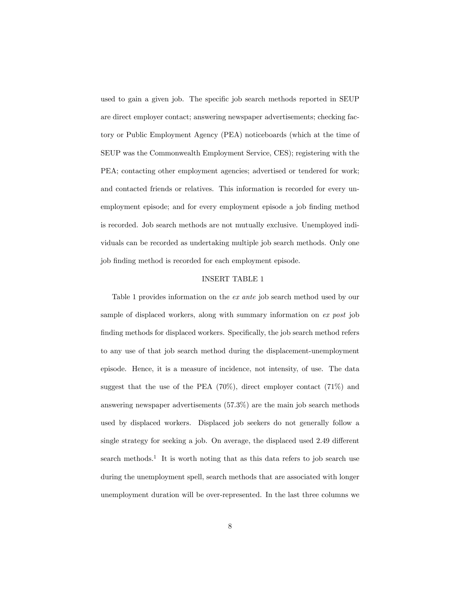used to gain a given job. The specific job search methods reported in SEUP are direct employer contact; answering newspaper advertisements; checking factory or Public Employment Agency (PEA) noticeboards (which at the time of SEUP was the Commonwealth Employment Service, CES); registering with the PEA; contacting other employment agencies; advertised or tendered for work; and contacted friends or relatives. This information is recorded for every unemployment episode; and for every employment episode a job finding method is recorded. Job search methods are not mutually exclusive. Unemployed individuals can be recorded as undertaking multiple job search methods. Only one job finding method is recorded for each employment episode.

#### INSERT TABLE 1

Table 1 provides information on the ex ante job search method used by our sample of displaced workers, along with summary information on ex post job finding methods for displaced workers. Specifically, the job search method refers to any use of that job search method during the displacement-unemployment episode. Hence, it is a measure of incidence, not intensity, of use. The data suggest that the use of the PEA  $(70\%)$ , direct employer contact  $(71\%)$  and answering newspaper advertisements (57.3%) are the main job search methods used by displaced workers. Displaced job seekers do not generally follow a single strategy for seeking a job. On average, the displaced used  $2.49$  different search methods.<sup>1</sup> It is worth noting that as this data refers to job search use during the unemployment spell, search methods that are associated with longer unemployment duration will be over-represented. In the last three columns we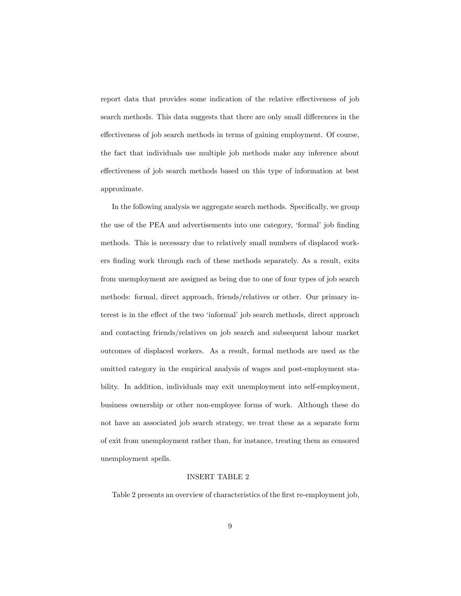report data that provides some indication of the relative effectiveness of job search methods. This data suggests that there are only small differences in the effectiveness of job search methods in terms of gaining employment. Of course, the fact that individuals use multiple job methods make any inference about effectiveness of job search methods based on this type of information at best approximate.

In the following analysis we aggregate search methods. Specifically, we group the use of the PEA and advertisements into one category, 'formal' job finding methods. This is necessary due to relatively small numbers of displaced workers finding work through each of these methods separately. As a result, exits from unemployment are assigned as being due to one of four types of job search methods: formal, direct approach, friends/relatives or other. Our primary interest is in the effect of the two 'informal' job search methods, direct approach and contacting friends/relatives on job search and subsequent labour market outcomes of displaced workers. As a result, formal methods are used as the omitted category in the empirical analysis of wages and post-employment stability. In addition, individuals may exit unemployment into self-employment, business ownership or other non-employee forms of work. Although these do not have an associated job search strategy, we treat these as a separate form of exit from unemployment rather than, for instance, treating them as censored unemployment spells.

#### INSERT TABLE 2

Table 2 presents an overview of characteristics of the first re-employment job,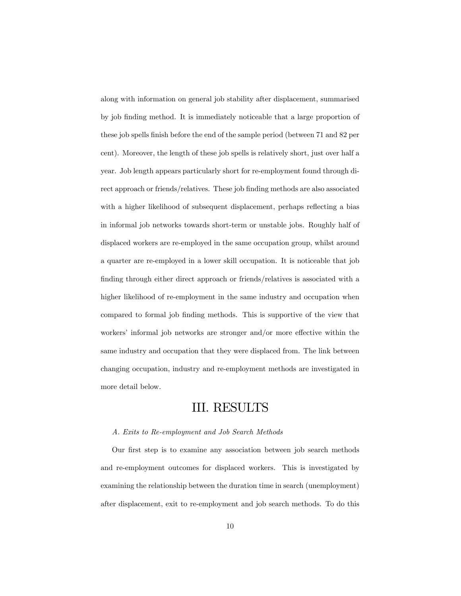along with information on general job stability after displacement, summarised by job Önding method. It is immediately noticeable that a large proportion of these job spells finish before the end of the sample period (between 71 and 82 per cent). Moreover, the length of these job spells is relatively short, just over half a year. Job length appears particularly short for re-employment found through direct approach or friends/relatives. These job finding methods are also associated with a higher likelihood of subsequent displacement, perhaps reflecting a bias in informal job networks towards short-term or unstable jobs. Roughly half of displaced workers are re-employed in the same occupation group, whilst around a quarter are re-employed in a lower skill occupation. It is noticeable that job finding through either direct approach or friends/relatives is associated with a higher likelihood of re-employment in the same industry and occupation when compared to formal job finding methods. This is supportive of the view that workers' informal job networks are stronger and/or more effective within the same industry and occupation that they were displaced from. The link between changing occupation, industry and re-employment methods are investigated in more detail below.

# III. RESULTS

### A. Exits to Re-employment and Job Search Methods

Our first step is to examine any association between job search methods and re-employment outcomes for displaced workers. This is investigated by examining the relationship between the duration time in search (unemployment) after displacement, exit to re-employment and job search methods. To do this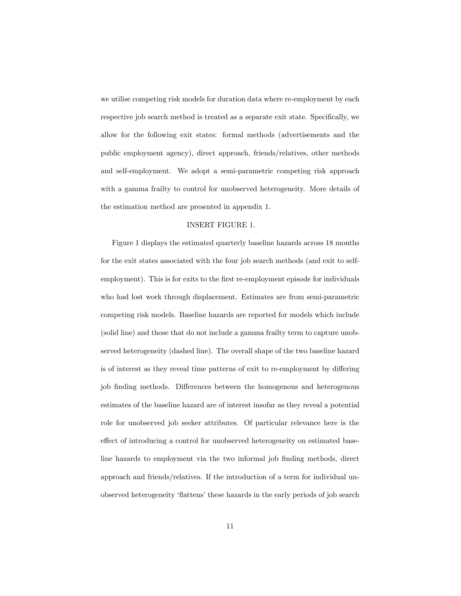we utilise competing risk models for duration data where re-employment by each respective job search method is treated as a separate exit state. Specifically, we allow for the following exit states: formal methods (advertisements and the public employment agency), direct approach, friends/relatives, other methods and self-employment. We adopt a semi-parametric competing risk approach with a gamma frailty to control for unobserved heterogeneity. More details of the estimation method are presented in appendix 1.

#### INSERT FIGURE 1.

Figure 1 displays the estimated quarterly baseline hazards across 18 months for the exit states associated with the four job search methods (and exit to selfemployment). This is for exits to the first re-employment episode for individuals who had lost work through displacement. Estimates are from semi-parametric competing risk models. Baseline hazards are reported for models which include (solid line) and those that do not include a gamma frailty term to capture unobserved heterogeneity (dashed line). The overall shape of the two baseline hazard is of interest as they reveal time patterns of exit to re-employment by differing job finding methods. Differences between the homogenous and heterogenous estimates of the baseline hazard are of interest insofar as they reveal a potential role for unobserved job seeker attributes. Of particular relevance here is the effect of introducing a control for unobserved heterogeneity on estimated baseline hazards to employment via the two informal job Önding methods, direct approach and friends/relatives. If the introduction of a term for individual unobserved heterogeneity 'flattens' these hazards in the early periods of job search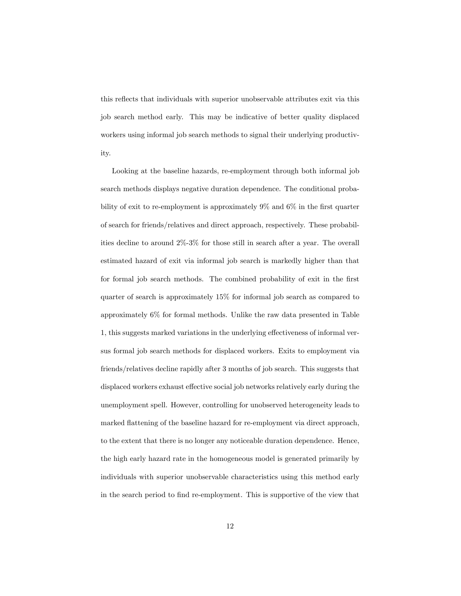this reflects that individuals with superior unobservable attributes exit via this job search method early. This may be indicative of better quality displaced workers using informal job search methods to signal their underlying productivity.

Looking at the baseline hazards, re-employment through both informal job search methods displays negative duration dependence. The conditional probability of exit to re-employment is approximately  $9\%$  and  $6\%$  in the first quarter of search for friends/relatives and direct approach, respectively. These probabilities decline to around 2%-3% for those still in search after a year. The overall estimated hazard of exit via informal job search is markedly higher than that for formal job search methods. The combined probability of exit in the first quarter of search is approximately 15% for informal job search as compared to approximately 6% for formal methods. Unlike the raw data presented in Table 1, this suggests marked variations in the underlying effectiveness of informal versus formal job search methods for displaced workers. Exits to employment via friends/relatives decline rapidly after 3 months of job search. This suggests that displaced workers exhaust effective social job networks relatively early during the unemployment spell. However, controlling for unobserved heterogeneity leads to marked flattening of the baseline hazard for re-employment via direct approach, to the extent that there is no longer any noticeable duration dependence. Hence, the high early hazard rate in the homogeneous model is generated primarily by individuals with superior unobservable characteristics using this method early in the search period to Önd re-employment. This is supportive of the view that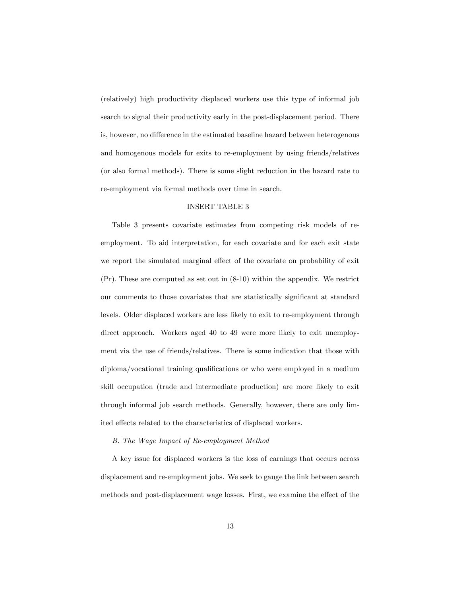(relatively) high productivity displaced workers use this type of informal job search to signal their productivity early in the post-displacement period. There is, however, no difference in the estimated baseline hazard between heterogenous and homogenous models for exits to re-employment by using friends/relatives (or also formal methods). There is some slight reduction in the hazard rate to re-employment via formal methods over time in search.

### INSERT TABLE 3

Table 3 presents covariate estimates from competing risk models of reemployment. To aid interpretation, for each covariate and for each exit state we report the simulated marginal effect of the covariate on probability of exit (Pr): These are computed as set out in (8-10) within the appendix. We restrict our comments to those covariates that are statistically significant at standard levels. Older displaced workers are less likely to exit to re-employment through direct approach. Workers aged 40 to 49 were more likely to exit unemployment via the use of friends/relatives. There is some indication that those with diploma/vocational training qualifications or who were employed in a medium skill occupation (trade and intermediate production) are more likely to exit through informal job search methods. Generally, however, there are only limited effects related to the characteristics of displaced workers.

#### B. The Wage Impact of Re-employment Method

A key issue for displaced workers is the loss of earnings that occurs across displacement and re-employment jobs. We seek to gauge the link between search methods and post-displacement wage losses. First, we examine the effect of the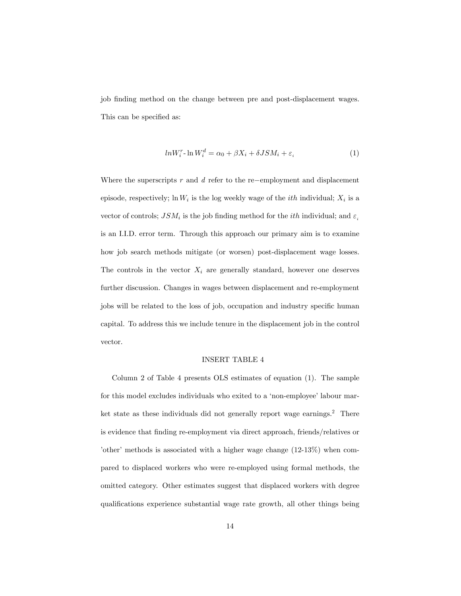job finding method on the change between pre and post-displacement wages. This can be specified as:

$$
ln W_i^r \cdot \ln W_i^d = \alpha_0 + \beta X_i + \delta J S M_i + \varepsilon_i \tag{1}
$$

Where the superscripts  $r$  and  $d$  refer to the re-employment and displacement episode, respectively;  $\ln W_i$  is the log weekly wage of the *ith* individual;  $X_i$  is a vector of controls;  $JSM_i$  is the job finding method for the *ith* individual; and  $\varepsilon_i$ is an I.I.D. error term. Through this approach our primary aim is to examine how job search methods mitigate (or worsen) post-displacement wage losses. The controls in the vector  $X_i$  are generally standard, however one deserves further discussion. Changes in wages between displacement and re-employment jobs will be related to the loss of job, occupation and industry specific human capital. To address this we include tenure in the displacement job in the control vector.

### INSERT TABLE 4

Column 2 of Table 4 presents OLS estimates of equation (1). The sample for this model excludes individuals who exited to a 'non-employee' labour market state as these individuals did not generally report wage earnings.<sup>2</sup> There is evidence that finding re-employment via direct approach, friends/relatives or 'other' methods is associated with a higher wage change  $(12-13\%)$  when compared to displaced workers who were re-employed using formal methods, the omitted category. Other estimates suggest that displaced workers with degree qualifications experience substantial wage rate growth, all other things being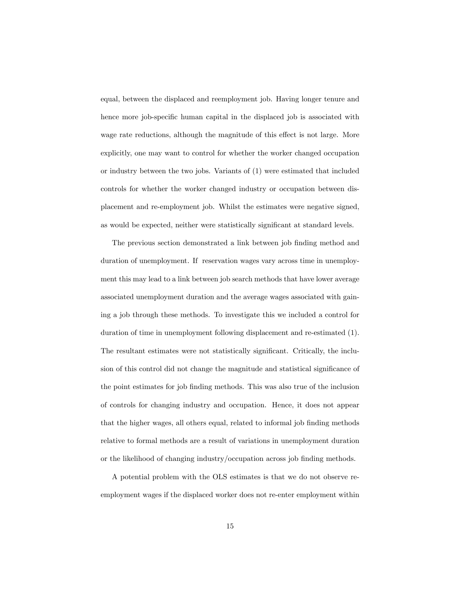equal, between the displaced and reemployment job. Having longer tenure and hence more job-specific human capital in the displaced job is associated with wage rate reductions, although the magnitude of this effect is not large. More explicitly, one may want to control for whether the worker changed occupation or industry between the two jobs. Variants of (1) were estimated that included controls for whether the worker changed industry or occupation between displacement and re-employment job. Whilst the estimates were negative signed, as would be expected, neither were statistically significant at standard levels.

The previous section demonstrated a link between job finding method and duration of unemployment. If reservation wages vary across time in unemployment this may lead to a link between job search methods that have lower average associated unemployment duration and the average wages associated with gaining a job through these methods. To investigate this we included a control for duration of time in unemployment following displacement and re-estimated (1). The resultant estimates were not statistically significant. Critically, the inclusion of this control did not change the magnitude and statistical significance of the point estimates for job Önding methods. This was also true of the inclusion of controls for changing industry and occupation. Hence, it does not appear that the higher wages, all others equal, related to informal job finding methods relative to formal methods are a result of variations in unemployment duration or the likelihood of changing industry/occupation across job finding methods.

A potential problem with the OLS estimates is that we do not observe reemployment wages if the displaced worker does not re-enter employment within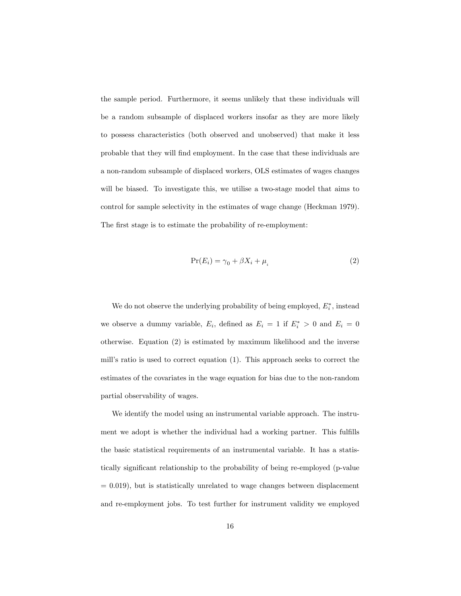the sample period. Furthermore, it seems unlikely that these individuals will be a random subsample of displaced workers insofar as they are more likely to possess characteristics (both observed and unobserved) that make it less probable that they will find employment. In the case that these individuals are a non-random subsample of displaced workers, OLS estimates of wages changes will be biased. To investigate this, we utilise a two-stage model that aims to control for sample selectivity in the estimates of wage change (Heckman 1979). The first stage is to estimate the probability of re-employment:

$$
Pr(E_i) = \gamma_0 + \beta X_i + \mu_i \tag{2}
$$

We do not observe the underlying probability of being employed,  $E_i^*$ , instead we observe a dummy variable,  $E_i$ , defined as  $E_i = 1$  if  $E_i^* > 0$  and  $E_i = 0$ otherwise. Equation (2) is estimated by maximum likelihood and the inverse mill's ratio is used to correct equation (1). This approach seeks to correct the estimates of the covariates in the wage equation for bias due to the non-random partial observability of wages.

We identify the model using an instrumental variable approach. The instrument we adopt is whether the individual had a working partner. This fulfills the basic statistical requirements of an instrumental variable. It has a statistically significant relationship to the probability of being re-employed (p-value  $= 0.019$ , but is statistically unrelated to wage changes between displacement and re-employment jobs. To test further for instrument validity we employed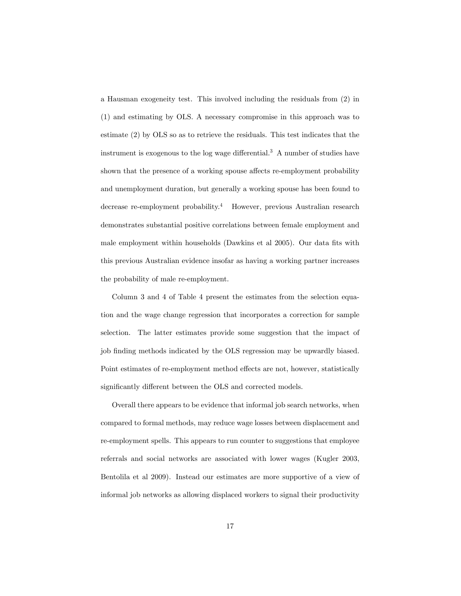a Hausman exogeneity test. This involved including the residuals from (2) in (1) and estimating by OLS. A necessary compromise in this approach was to estimate (2) by OLS so as to retrieve the residuals. This test indicates that the instrument is exogenous to the log wage differential.<sup>3</sup> A number of studies have shown that the presence of a working spouse affects re-employment probability and unemployment duration, but generally a working spouse has been found to decrease re-employment probability.<sup>4</sup> However, previous Australian research demonstrates substantial positive correlations between female employment and male employment within households (Dawkins et al 2005). Our data fits with this previous Australian evidence insofar as having a working partner increases the probability of male re-employment.

Column 3 and 4 of Table 4 present the estimates from the selection equation and the wage change regression that incorporates a correction for sample selection. The latter estimates provide some suggestion that the impact of job finding methods indicated by the OLS regression may be upwardly biased. Point estimates of re-employment method effects are not, however, statistically significantly different between the OLS and corrected models.

Overall there appears to be evidence that informal job search networks, when compared to formal methods, may reduce wage losses between displacement and re-employment spells. This appears to run counter to suggestions that employee referrals and social networks are associated with lower wages (Kugler 2003, Bentolila et al 2009). Instead our estimates are more supportive of a view of informal job networks as allowing displaced workers to signal their productivity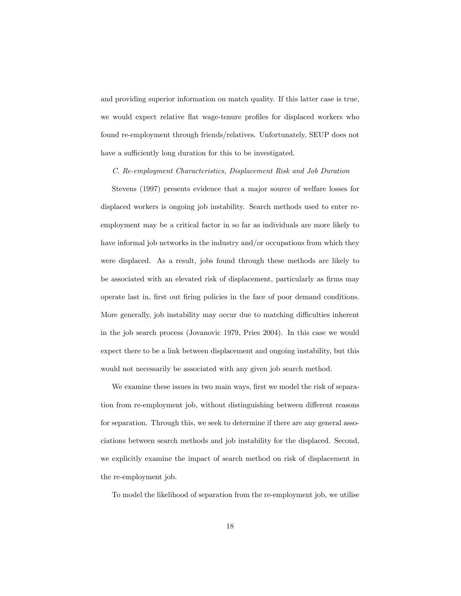and providing superior information on match quality. If this latter case is true, we would expect relative flat wage-tenure profiles for displaced workers who found re-employment through friends/relatives. Unfortunately, SEUP does not have a sufficiently long duration for this to be investigated.

#### C. Re-employment Characteristics, Displacement Risk and Job Duration

Stevens (1997) presents evidence that a major source of welfare losses for displaced workers is ongoing job instability. Search methods used to enter reemployment may be a critical factor in so far as individuals are more likely to have informal job networks in the industry and/or occupations from which they were displaced. As a result, jobs found through these methods are likely to be associated with an elevated risk of displacement, particularly as firms may operate last in, first out firing policies in the face of poor demand conditions. More generally, job instability may occur due to matching difficulties inherent in the job search process (Jovanovic 1979, Pries 2004). In this case we would expect there to be a link between displacement and ongoing instability, but this would not necessarily be associated with any given job search method.

We examine these issues in two main ways, first we model the risk of separation from re-employment job, without distinguishing between different reasons for separation. Through this, we seek to determine if there are any general associations between search methods and job instability for the displaced. Second, we explicitly examine the impact of search method on risk of displacement in the re-employment job.

To model the likelihood of separation from the re-employment job, we utilise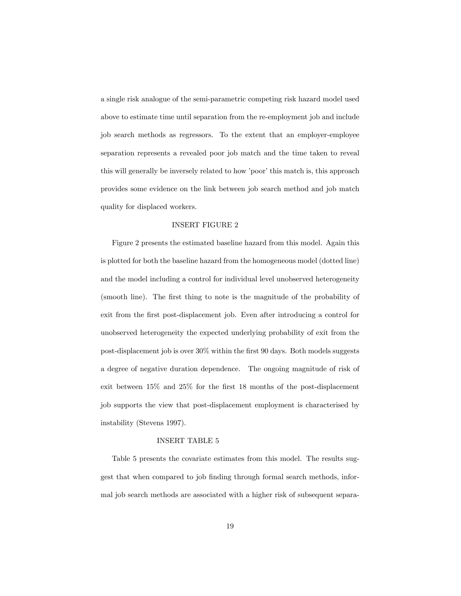a single risk analogue of the semi-parametric competing risk hazard model used above to estimate time until separation from the re-employment job and include job search methods as regressors. To the extent that an employer-employee separation represents a revealed poor job match and the time taken to reveal this will generally be inversely related to how 'poor' this match is, this approach provides some evidence on the link between job search method and job match quality for displaced workers.

### INSERT FIGURE 2

Figure 2 presents the estimated baseline hazard from this model. Again this is plotted for both the baseline hazard from the homogeneous model (dotted line) and the model including a control for individual level unobserved heterogeneity (smooth line). The first thing to note is the magnitude of the probability of exit from the first post-displacement job. Even after introducing a control for unobserved heterogeneity the expected underlying probability of exit from the post-displacement job is over 30% within the first 90 days. Both models suggests a degree of negative duration dependence. The ongoing magnitude of risk of exit between  $15\%$  and  $25\%$  for the first 18 months of the post-displacement job supports the view that post-displacement employment is characterised by instability (Stevens 1997).

#### INSERT TABLE 5

Table 5 presents the covariate estimates from this model. The results suggest that when compared to job finding through formal search methods, informal job search methods are associated with a higher risk of subsequent separa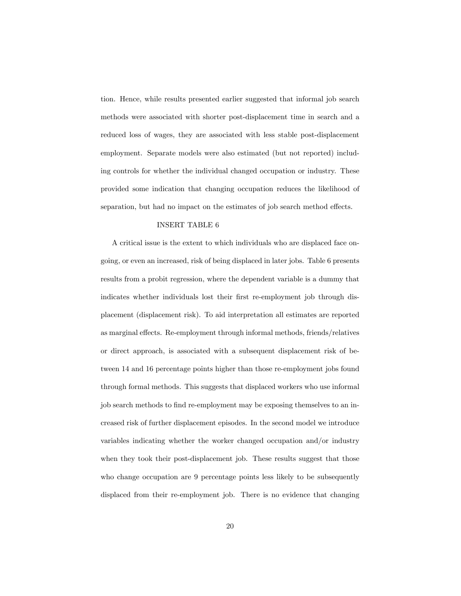tion. Hence, while results presented earlier suggested that informal job search methods were associated with shorter post-displacement time in search and a reduced loss of wages, they are associated with less stable post-displacement employment. Separate models were also estimated (but not reported) including controls for whether the individual changed occupation or industry. These provided some indication that changing occupation reduces the likelihood of separation, but had no impact on the estimates of job search method effects.

### INSERT TABLE 6

A critical issue is the extent to which individuals who are displaced face ongoing, or even an increased, risk of being displaced in later jobs. Table 6 presents results from a probit regression, where the dependent variable is a dummy that indicates whether individuals lost their first re-employment job through displacement (displacement risk). To aid interpretation all estimates are reported as marginal effects. Re-employment through informal methods, friends/relatives or direct approach, is associated with a subsequent displacement risk of between 14 and 16 percentage points higher than those re-employment jobs found through formal methods. This suggests that displaced workers who use informal job search methods to find re-employment may be exposing themselves to an increased risk of further displacement episodes. In the second model we introduce variables indicating whether the worker changed occupation and/or industry when they took their post-displacement job. These results suggest that those who change occupation are 9 percentage points less likely to be subsequently displaced from their re-employment job. There is no evidence that changing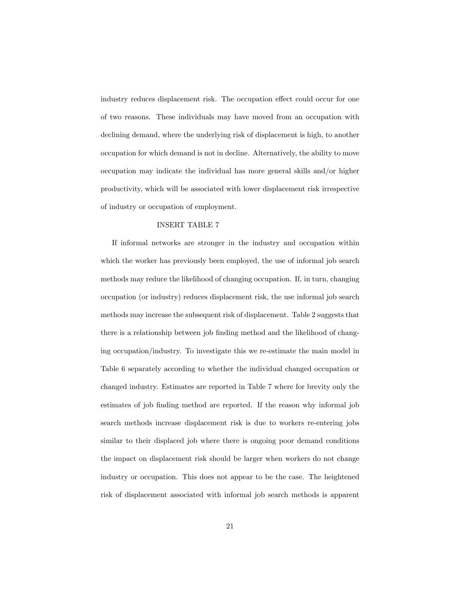industry reduces displacement risk. The occupation effect could occur for one of two reasons. These individuals may have moved from an occupation with declining demand, where the underlying risk of displacement is high, to another occupation for which demand is not in decline. Alternatively, the ability to move occupation may indicate the individual has more general skills and/or higher productivity, which will be associated with lower displacement risk irrespective of industry or occupation of employment.

### INSERT TABLE 7

If informal networks are stronger in the industry and occupation within which the worker has previously been employed, the use of informal job search methods may reduce the likelihood of changing occupation. If, in turn, changing occupation (or industry) reduces displacement risk, the use informal job search methods may increase the subsequent risk of displacement. Table 2 suggests that there is a relationship between job finding method and the likelihood of changing occupation/industry. To investigate this we re-estimate the main model in Table 6 separately according to whether the individual changed occupation or changed industry. Estimates are reported in Table 7 where for brevity only the estimates of job finding method are reported. If the reason why informal job search methods increase displacement risk is due to workers re-entering jobs similar to their displaced job where there is ongoing poor demand conditions the impact on displacement risk should be larger when workers do not change industry or occupation. This does not appear to be the case. The heightened risk of displacement associated with informal job search methods is apparent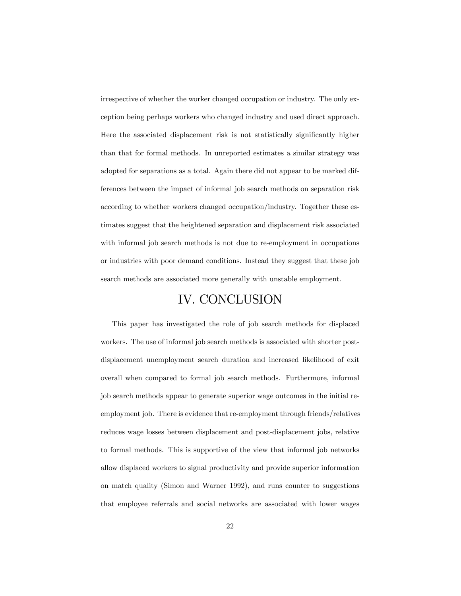irrespective of whether the worker changed occupation or industry. The only exception being perhaps workers who changed industry and used direct approach. Here the associated displacement risk is not statistically significantly higher than that for formal methods. In unreported estimates a similar strategy was adopted for separations as a total. Again there did not appear to be marked differences between the impact of informal job search methods on separation risk according to whether workers changed occupation/industry. Together these estimates suggest that the heightened separation and displacement risk associated with informal job search methods is not due to re-employment in occupations or industries with poor demand conditions. Instead they suggest that these job search methods are associated more generally with unstable employment.

# IV. CONCLUSION

This paper has investigated the role of job search methods for displaced workers. The use of informal job search methods is associated with shorter postdisplacement unemployment search duration and increased likelihood of exit overall when compared to formal job search methods. Furthermore, informal job search methods appear to generate superior wage outcomes in the initial reemployment job. There is evidence that re-employment through friends/relatives reduces wage losses between displacement and post-displacement jobs, relative to formal methods. This is supportive of the view that informal job networks allow displaced workers to signal productivity and provide superior information on match quality (Simon and Warner 1992), and runs counter to suggestions that employee referrals and social networks are associated with lower wages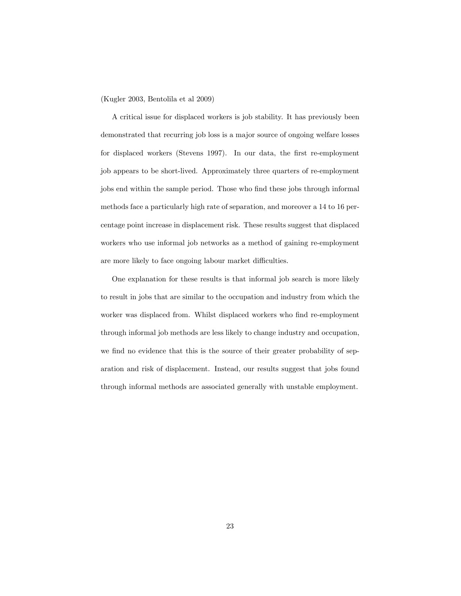(Kugler 2003, Bentolila et al 2009)

A critical issue for displaced workers is job stability. It has previously been demonstrated that recurring job loss is a major source of ongoing welfare losses for displaced workers (Stevens 1997). In our data, the first re-employment job appears to be short-lived. Approximately three quarters of re-employment jobs end within the sample period. Those who find these jobs through informal methods face a particularly high rate of separation, and moreover a 14 to 16 percentage point increase in displacement risk. These results suggest that displaced workers who use informal job networks as a method of gaining re-employment are more likely to face ongoing labour market difficulties.

One explanation for these results is that informal job search is more likely to result in jobs that are similar to the occupation and industry from which the worker was displaced from. Whilst displaced workers who find re-employment through informal job methods are less likely to change industry and occupation, we find no evidence that this is the source of their greater probability of separation and risk of displacement. Instead, our results suggest that jobs found through informal methods are associated generally with unstable employment.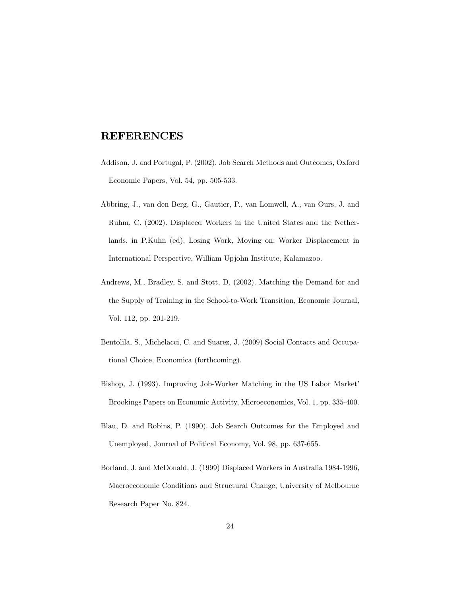## REFERENCES

- Addison, J. and Portugal, P. (2002). Job Search Methods and Outcomes, Oxford Economic Papers, Vol. 54, pp. 505-533.
- Abbring, J., van den Berg, G., Gautier, P., van Lomwell, A., van Ours, J. and Ruhm, C. (2002). Displaced Workers in the United States and the Netherlands, in P.Kuhn (ed), Losing Work, Moving on: Worker Displacement in International Perspective, William Upjohn Institute, Kalamazoo.
- Andrews, M., Bradley, S. and Stott, D. (2002). Matching the Demand for and the Supply of Training in the School-to-Work Transition, Economic Journal, Vol. 112, pp. 201-219.
- Bentolila, S., Michelacci, C. and Suarez, J. (2009) Social Contacts and Occupational Choice, Economica (forthcoming).
- Bishop, J. (1993). Improving Job-Worker Matching in the US Labor Market' Brookings Papers on Economic Activity, Microeconomics, Vol. 1, pp. 335-400.
- Blau, D. and Robins, P. (1990). Job Search Outcomes for the Employed and Unemployed, Journal of Political Economy, Vol. 98, pp. 637-655.
- Borland, J. and McDonald, J. (1999) Displaced Workers in Australia 1984-1996, Macroeconomic Conditions and Structural Change, University of Melbourne Research Paper No. 824.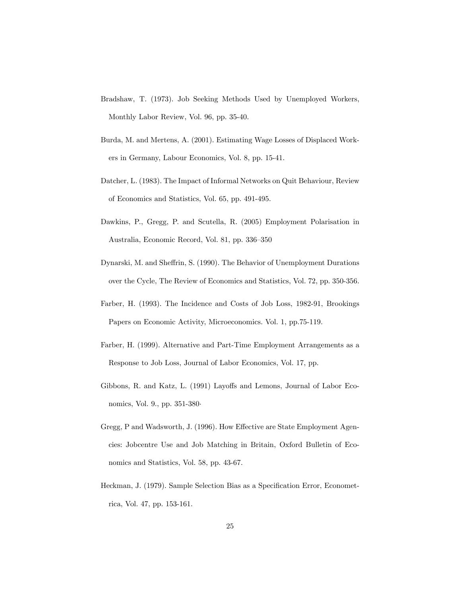- Bradshaw, T. (1973). Job Seeking Methods Used by Unemployed Workers, Monthly Labor Review, Vol. 96, pp. 35-40.
- Burda, M. and Mertens, A. (2001). Estimating Wage Losses of Displaced Workers in Germany, Labour Economics, Vol. 8, pp. 15-41.
- Datcher, L. (1983). The Impact of Informal Networks on Quit Behaviour, Review of Economics and Statistics, Vol. 65, pp. 491-495.
- Dawkins, P., Gregg, P. and Scutella, R. (2005) Employment Polarisation in Australia, Economic Record, Vol. 81, pp. 336–350
- Dynarski, M. and Sheffrin, S. (1990). The Behavior of Unemployment Durations over the Cycle, The Review of Economics and Statistics, Vol. 72, pp. 350-356.
- Farber, H. (1993). The Incidence and Costs of Job Loss, 1982-91, Brookings Papers on Economic Activity, Microeconomics. Vol. 1, pp.75-119.
- Farber, H. (1999). Alternative and Part-Time Employment Arrangements as a Response to Job Loss, Journal of Labor Economics, Vol. 17, pp.
- Gibbons, R. and Katz, L. (1991) Layoffs and Lemons, Journal of Labor Economics, Vol. 9., pp. 351-380
- Gregg, P and Wadsworth, J. (1996). How Effective are State Employment Agencies: Jobcentre Use and Job Matching in Britain, Oxford Bulletin of Economics and Statistics, Vol. 58, pp. 43-67.
- Heckman, J. (1979). Sample Selection Bias as a Specification Error, Econometrica, Vol. 47, pp. 153-161.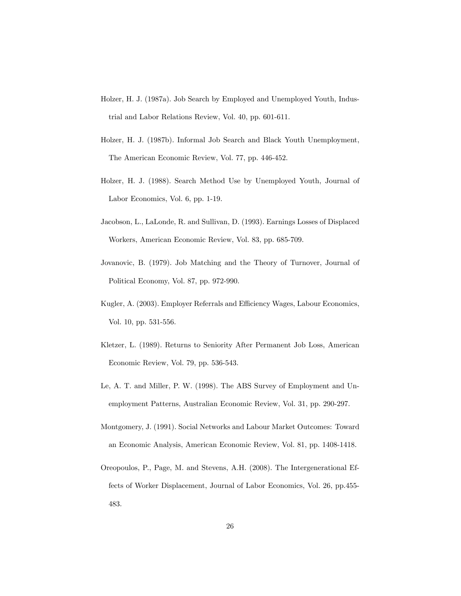- Holzer, H. J. (1987a). Job Search by Employed and Unemployed Youth, Industrial and Labor Relations Review, Vol. 40, pp. 601-611.
- Holzer, H. J. (1987b). Informal Job Search and Black Youth Unemployment, The American Economic Review, Vol. 77, pp. 446-452.
- Holzer, H. J. (1988). Search Method Use by Unemployed Youth, Journal of Labor Economics, Vol. 6, pp. 1-19.
- Jacobson, L., LaLonde, R. and Sullivan, D. (1993). Earnings Losses of Displaced Workers, American Economic Review, Vol. 83, pp. 685-709.
- Jovanovic, B. (1979). Job Matching and the Theory of Turnover, Journal of Political Economy, Vol. 87, pp. 972-990.
- Kugler, A. (2003). Employer Referrals and Efficiency Wages, Labour Economics, Vol. 10, pp. 531-556.
- Kletzer, L. (1989). Returns to Seniority After Permanent Job Loss, American Economic Review, Vol. 79, pp. 536-543.
- Le, A. T. and Miller, P. W. (1998). The ABS Survey of Employment and Unemployment Patterns, Australian Economic Review, Vol. 31, pp. 290-297.
- Montgomery, J. (1991). Social Networks and Labour Market Outcomes: Toward an Economic Analysis, American Economic Review, Vol. 81, pp. 1408-1418.
- Oreopoulos, P., Page, M. and Stevens, A.H. (2008). The Intergenerational Effects of Worker Displacement, Journal of Labor Economics, Vol. 26, pp.455- 483.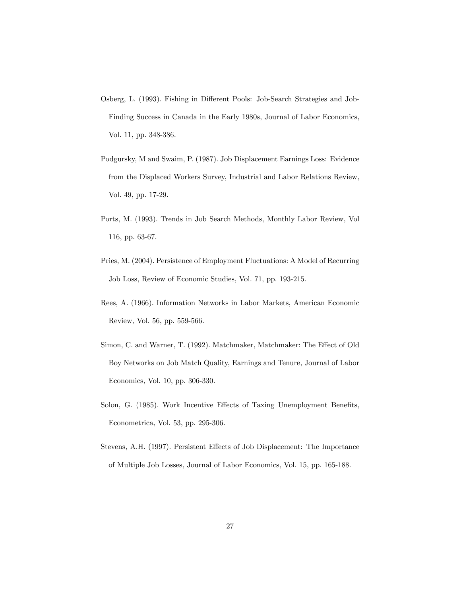- Osberg, L. (1993). Fishing in Different Pools: Job-Search Strategies and Job-Finding Success in Canada in the Early 1980s, Journal of Labor Economics, Vol. 11, pp. 348-386.
- Podgursky, M and Swaim, P. (1987). Job Displacement Earnings Loss: Evidence from the Displaced Workers Survey, Industrial and Labor Relations Review, Vol. 49, pp. 17-29.
- Ports, M. (1993). Trends in Job Search Methods, Monthly Labor Review, Vol 116, pp. 63-67.
- Pries, M. (2004). Persistence of Employment Fluctuations: A Model of Recurring Job Loss, Review of Economic Studies, Vol. 71, pp. 193-215.
- Rees, A. (1966). Information Networks in Labor Markets, American Economic Review, Vol. 56, pp. 559-566.
- Simon, C. and Warner, T. (1992). Matchmaker, Matchmaker: The Effect of Old Boy Networks on Job Match Quality, Earnings and Tenure, Journal of Labor Economics, Vol. 10, pp. 306-330.
- Solon, G. (1985). Work Incentive Effects of Taxing Unemployment Benefits, Econometrica, Vol. 53, pp. 295-306.
- Stevens, A.H. (1997). Persistent Effects of Job Displacement: The Importance of Multiple Job Losses, Journal of Labor Economics, Vol. 15, pp. 165-188.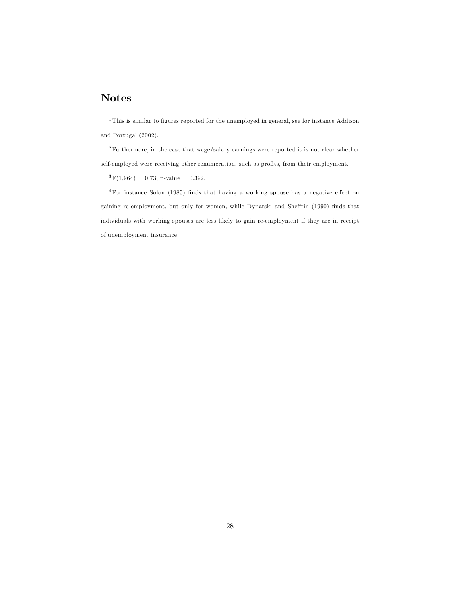## Notes

 $1$ This is similar to figures reported for the unemployed in general, see for instance Addison and Portugal (2002).

<sup>2</sup>Furthermore, in the case that wage/salary earnings were reported it is not clear whether self-employed were receiving other renumeration, such as profits, from their employment.

 ${}^{3}F(1,964) = 0.73$ , p-value = 0.392.

 $4$ For instance Solon (1985) finds that having a working spouse has a negative effect on gaining re-employment, but only for women, while Dynarski and Sheffrin (1990) finds that individuals with working spouses are less likely to gain re-employment if they are in receipt of unemployment insurance.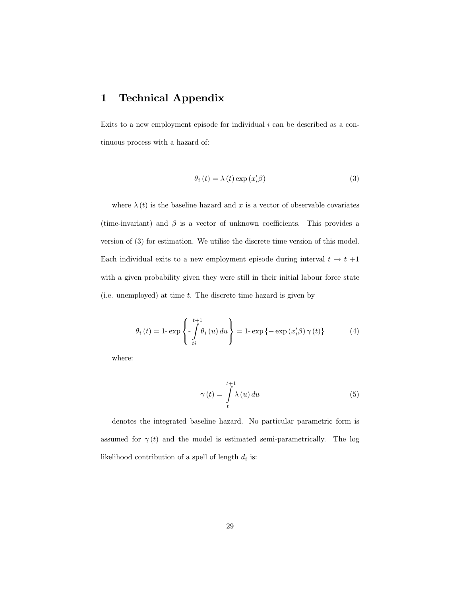## 1 Technical Appendix

Exits to a new employment episode for individual  $i$  can be described as a continuous process with a hazard of:

$$
\theta_i(t) = \lambda(t) \exp(x_i/\beta)
$$
 (3)

where  $\lambda(t)$  is the baseline hazard and x is a vector of observable covariates (time-invariant) and  $\beta$  is a vector of unknown coefficients. This provides a version of (3) for estimation. We utilise the discrete time version of this model. Each individual exits to a new employment episode during interval  $t \to t +1$ with a given probability given they were still in their initial labour force state (i.e. unemployed) at time  $t$ . The discrete time hazard is given by

$$
\theta_{i}\left(t\right) = 1 - \exp\left\{-\int\limits_{ti}^{t+1} \theta_{i}\left(u\right) du\right\} = 1 - \exp\left\{-\exp\left(x_{i}'\beta\right)\gamma\left(t\right)\right\} \tag{4}
$$

where:

$$
\gamma(t) = \int_{t}^{t+1} \lambda(u) du \tag{5}
$$

denotes the integrated baseline hazard. No particular parametric form is assumed for  $\gamma(t)$  and the model is estimated semi-parametrically. The log likelihood contribution of a spell of length  $d_i$  is: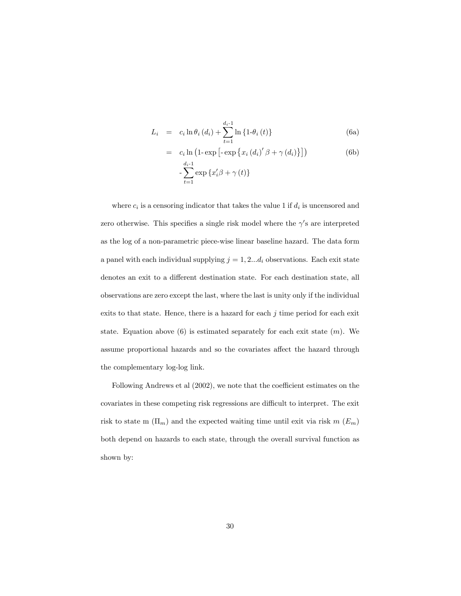$$
L_{i} = c_{i} \ln \theta_{i} (d_{i}) + \sum_{t=1}^{d_{i} - 1} \ln \{ 1 - \theta_{i} (t) \}
$$
 (6a)

$$
= c_i \ln \left(1 - \exp\left[-\exp\left\{x_i \left(d_i\right)'\beta + \gamma \left(d_i\right)\right\}\right]\right) \tag{6b}
$$

$$
- \sum_{t=1}^{d_i - 1} \exp\left\{x_i'\beta + \gamma \left(t\right)\right\}
$$

where  $c_i$  is a censoring indicator that takes the value 1 if  $d_i$  is uncensored and zero otherwise. This specifies a single risk model where the  $\gamma$ 's are interpreted as the log of a non-parametric piece-wise linear baseline hazard. The data form a panel with each individual supplying  $j = 1, 2...d_i$  observations. Each exit state denotes an exit to a different destination state. For each destination state, all observations are zero except the last, where the last is unity only if the individual exits to that state. Hence, there is a hazard for each  $j$  time period for each exit state. Equation above  $(6)$  is estimated separately for each exit state  $(m)$ . We assume proportional hazards and so the covariates affect the hazard through the complementary log-log link.

Following Andrews et al  $(2002)$ , we note that the coefficient estimates on the covariates in these competing risk regressions are difficult to interpret. The exit risk to state m  $(\Pi_m)$  and the expected waiting time until exit via risk m  $(E_m)$ both depend on hazards to each state, through the overall survival function as shown by: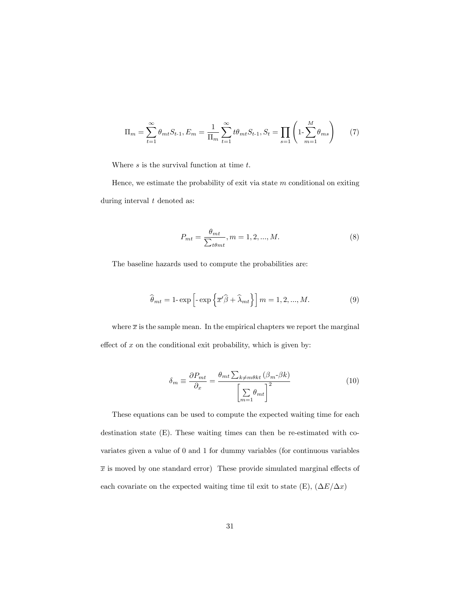$$
\Pi_m = \sum_{t=1}^{\infty} \theta_{mt} S_{t-1}, E_m = \frac{1}{\Pi_m} \sum_{t=1}^{\infty} t \theta_{mt} S_{t-1}, S_t = \prod_{s=1}^{\infty} \left( 1 - \sum_{m=1}^{M} \theta_{ms} \right) \tag{7}
$$

Where  $s$  is the survival function at time  $t$ .

Hence, we estimate the probability of exit via state  $m$  conditional on exiting during interval  $t$  denoted as:

$$
P_{mt} = \frac{\theta_{mt}}{\sum_{t\theta_{mt}}}, m = 1, 2, ..., M.
$$
 (8)

The baseline hazards used to compute the probabilities are:

$$
\widehat{\theta}_{mt} = 1 - \exp\left[-\exp\left\{\overline{x}'\widehat{\beta} + \widehat{\lambda}_{mt}\right\}\right]m = 1, 2, ..., M. \tag{9}
$$

where  $\bar{x}$  is the sample mean. In the empirical chapters we report the marginal effect of  $x$  on the conditional exit probability, which is given by:

$$
\delta_m \equiv \frac{\partial P_{mt}}{\partial_x} = \frac{\theta_{mt} \sum_{k \neq m\theta kt} (\beta_m - \beta k)}{\left[\sum_{m=1}^{\infty} \theta_{mt}\right]^2}
$$
(10)

These equations can be used to compute the expected waiting time for each destination state (E). These waiting times can then be re-estimated with covariates given a value of 0 and 1 for dummy variables (for continuous variables  $\bar{x}$  is moved by one standard error) These provide simulated marginal effects of each covariate on the expected waiting time til exit to state (E),  $(\Delta E/\Delta x)$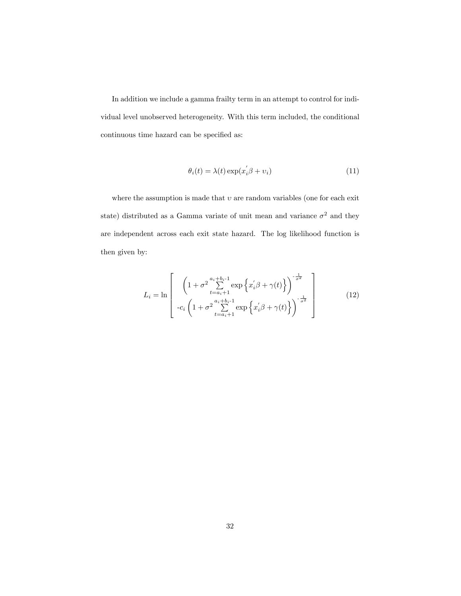In addition we include a gamma frailty term in an attempt to control for individual level unobserved heterogeneity. With this term included, the conditional continuous time hazard can be specified as:

$$
\theta_i(t) = \lambda(t) \exp(x_i' \beta + v_i)
$$
\n(11)

where the assumption is made that  $v$  are random variables (one for each exit state) distributed as a Gamma variate of unit mean and variance  $\sigma^2$  and they are independent across each exit state hazard. The log likelihood function is then given by:

$$
L_{i} = \ln \left[ \left( 1 + \sigma^{2} \sum_{t=a_{i}+1}^{a_{i}+b_{i}-1} \exp\left\{ x_{i}'\beta + \gamma(t) \right\} \right)^{-\frac{1}{\sigma^{2}}} \right] - c_{i} \left( 1 + \sigma^{2} \sum_{t=a_{i}+1}^{a_{i}+b_{i}-1} \exp\left\{ x_{i}'\beta + \gamma(t) \right\} \right)^{-\frac{1}{\sigma^{2}}} \right]
$$
(12)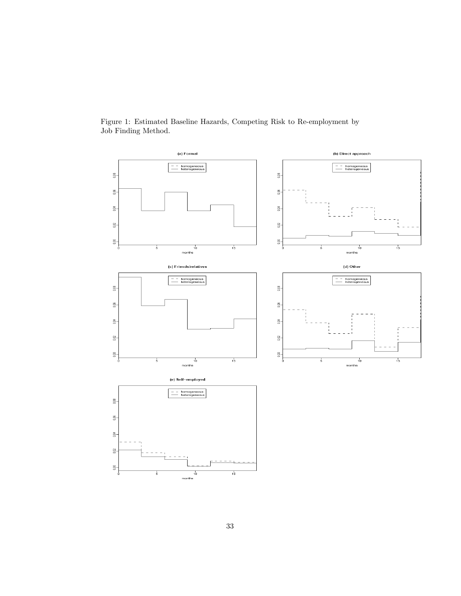

Figure 1: Estimated Baseline Hazards, Competing Risk to Re-employment by Job Finding Method.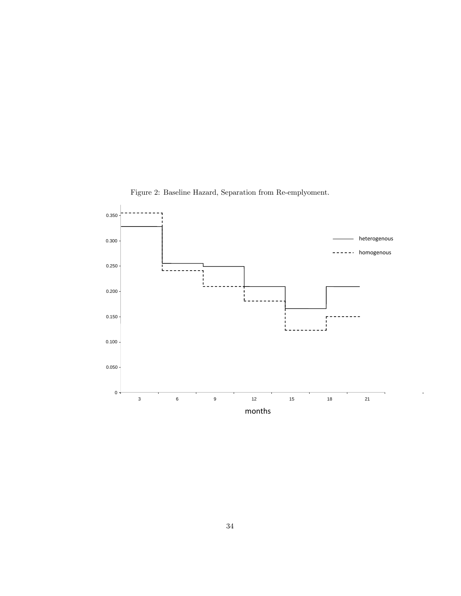

 $\overline{1}$ 

Figure 2: Baseline Hazard, Separation from Re-emplyoment.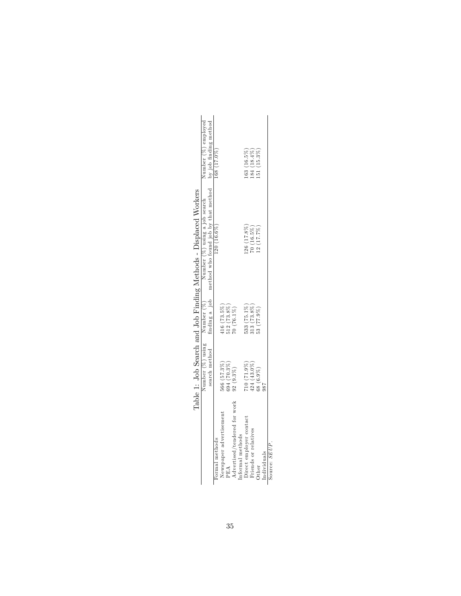|                                           |                              |                                                                | Number $(\%)$ using Number $(\%)$ Number $(\%)$ using a job search      | Number (%) employed |
|-------------------------------------------|------------------------------|----------------------------------------------------------------|-------------------------------------------------------------------------|---------------------|
|                                           | search method                |                                                                | finding a job method who found job by that method by job finding method |                     |
| Newspaper advertisement<br>Formal methods | 566 (57.3%)                  | $416(73.5\%)$                                                  | $120(16.6\%)$                                                           | $168(17.0\%)$       |
|                                           | 694 (70.3%)                  |                                                                |                                                                         |                     |
| Advertised/tendered for work              | $92(9.3\%)$                  | $\frac{512}{70} \frac{(73.8\%)}{(76.1\%)}$                     |                                                                         |                     |
| Informal methods                          |                              |                                                                |                                                                         |                     |
| Direct employer contact                   |                              | $533(75.1\%)$                                                  | $.26(17.8\%)$                                                           | $163(16.5\%)$       |
| Friends or relatives                      | $710(71.9\%)$<br>424 (43.0%) |                                                                | $70(16.5\%)$                                                            | $184(18.4\%)$       |
| Other                                     | 68 (6.9%)                    | $\begin{array}{c} 313 \ (73.8\%) \\ 53 \ (77.9\%) \end{array}$ | (2(17.7%)                                                               | $151(15.3\%)$       |
| Individuals                               |                              |                                                                |                                                                         |                     |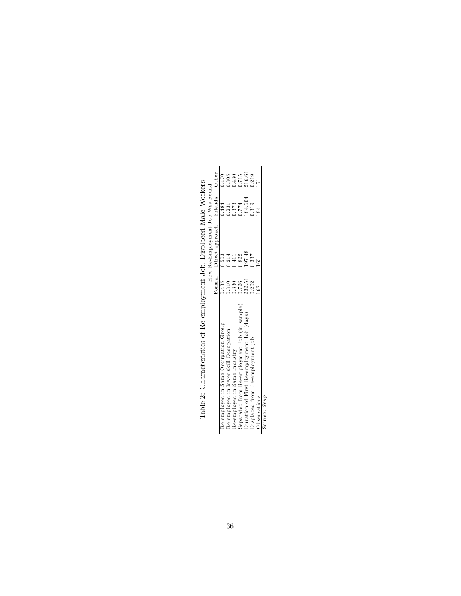| Table 2: Characteristics of Re-employment Job, Displaced Male Workers |        |                                 |         |        |
|-----------------------------------------------------------------------|--------|---------------------------------|---------|--------|
|                                                                       |        | How Re-Employment Job Was Found |         |        |
|                                                                       |        | Formal Direct approach Friends  |         | Other  |
| Re-employed in Same Occupation Group                                  | 0.435  | 0.503                           | 1.484   | 1.470  |
| Re-employed in lower skill Occupation                                 | 0.310  | 1.214                           | 0.231   | 1.305  |
| Re-employed in Same Industry                                          | 0.330  | 1.411                           | 0.373   | 1430   |
| Separated from Re-employment Job (in sample)                          | 1.726  | 1.822                           | 0.774   | 0.715  |
| Duration of First Re-employment Job (days)                            | 232.51 | 197.48                          | 184.604 | 216.61 |
| Displaced from Re-employment job                                      | 1.202  | 1.337                           | 0.319   | 0.219  |
| Observations                                                          |        |                                 |         |        |
| Source: Seup                                                          |        |                                 |         |        |

Table 2: Characteristics of Re-employment Job, Displaced Male Workers  $\overline{1}$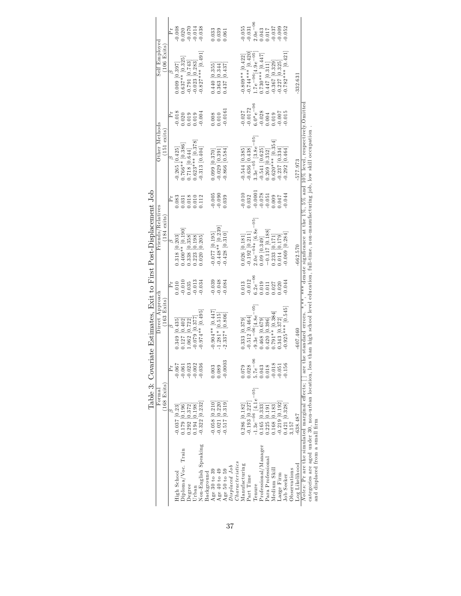|                                                   |                   |                        | È | 0.008             | 0.020              | 0.014               |                      | $-0.038$             |            | 0.033              | $0.039$<br>$0.061$    |                                            |                 |                 | $0.055\,$         | 0.031             | $2.0e^{-0.6}$                                     | 0.043                | $\begin{array}{c} 0.017 \\ 0.037 \\ 0.009 \\ 0.052 \end{array}$ |                    |                                               |                    |              |                |                                                                                                                                                                                                               |
|---------------------------------------------------|-------------------|------------------------|---|-------------------|--------------------|---------------------|----------------------|----------------------|------------|--------------------|-----------------------|--------------------------------------------|-----------------|-----------------|-------------------|-------------------|---------------------------------------------------|----------------------|-----------------------------------------------------------------|--------------------|-----------------------------------------------|--------------------|--------------|----------------|---------------------------------------------------------------------------------------------------------------------------------------------------------------------------------------------------------------|
|                                                   | Self Employed     | $(106$ Exits           |   | $0.009$ [0.397]   | $0.637**$ [0.325]  | 0.791 [0.743]       | $0.023$ [0.283]      | $0.827***$ [0.491]   |            | 0.440[0.355]       | 0.363 [0.344]         | 1.437 [0.437]                              |                 |                 | $0.809**$ [0.422] | $0.744***$ [0.420 | $1.7e^{-06}$ [4.9 $e^{-05}$ ]                     | $0.730***$ [0.447]   | $1.447$ [0.311]                                                 | $0.367$ [0.329]    | 0.227 [0.325]                                 | $0.782***$ [0.421  |              | $-332.63$      |                                                                                                                                                                                                               |
|                                                   |                   |                        | È | $-0.018$          | 0.020              | 0.019               |                      | $-0.004$             |            | 0.008              | 0.010                 | 0.0161                                     |                 |                 | 0.027             | 0.0172            | $3.0*e^{-06}$                                     | $-0.028$             | $0.004$<br>$0.019$                                              |                    | $\begin{array}{c} 610.0 \\ 100.0 \end{array}$ |                    |              |                |                                                                                                                                                                                                               |
|                                                   | Other Methods     | (151 exists)           |   | $0.265$ $[0.425]$ | $0.766**$ [0.386]  | 1644] 0.718 [0.644] | $0.623***$ [0.378]   | 0.313 [0.404]        |            | $0.099$ [0.370]    | $0.029$ [0.391        | $0.866$ [0.584]                            |                 |                 | 0.544 [0.385]     | $0.636$ [0.438]   | $3.3e^{-05}$ [3.8 $e^{-05}$ ]                     | 0.541 [0.625]        | $0.269$ $[0.352]$                                               | $0.620***$ [0.354] | $-0.237$ $[0.334]$<br>$-0.292$ $[0.464]$      |                    |              | -577.973       |                                                                                                                                                                                                               |
|                                                   |                   |                        | Ä | 0.083             | 0.031              | 0.018               | 0.010                | 0.112                |            | 0.005              | $-0.090$              | 0.39                                       |                 |                 | 0.010             | 0.32              | 0.0001                                            | 0.078                | 0.051                                                           | 0.009              | 1.047                                         | 0.044              |              |                |                                                                                                                                                                                                               |
| te Estimates, Exit to First Post-Displacement Job | Friends/Relatives | $(184 \text{ exists})$ |   | 0.318 [0.203]     | $0.400**$ [0.190]  | 0.338 0.358         | $1.223$ [0.198]      | 0.020 [0.205]        |            | $-0.077$ [0.195]   |                       | $-0.448**$ $[0.239]$<br>$-0.428$ $[0.310]$ |                 |                 | $0.026$ [0.181]   |                   | $0.192$ $[0.211]$<br>$0.0e^{-04*}$ $[6.8e^{-05}]$ | 0.09 [0.349]         | $-0.117$ [0.188]                                                | $.233$ [0.171]     | $0.014$ $[0.179]$                             | $0.069$ $0.284$    |              | $-662.570$     | are the standard errors. *,**,**** denote significance at the $1\%$ , $5\%$ and $10\%$ level, respectively. Omittee<br>an high school level education, full-time, non-manufacturing job, low skill occupation |
|                                                   |                   |                        | È | 0.010             | 0.010              | 0.35                | 0.013                | 0.034                |            | 0.039              | <b>980.0</b><br>870.0 |                                            |                 |                 | 0.013             | 0.012             | $6.2e^{-06}$                                      | 0.019                | 1.011                                                           | 1.027              | 0.020                                         | 0.044              |              |                |                                                                                                                                                                                                               |
|                                                   | Direct Approach   | $(163$ Exits)          |   | 0.349 [0.435]     | 0.127 [0.402]      | $.062$ [0.722]      | 0.079 [0.377         | $0.974**$ [0.495]    |            | $-0.904**$ [0.447] |                       | $-1.281*$ $[0.515]$<br>$-2.337*$ $[0.806]$ |                 |                 | 0.333 [0.379]     | $-0.512$ [0.464]  | $-9.3e^{-06}$ [4.8 $e^{-05}$ ]                    | 0.468 [0.679]        | 0.420 [0.396]                                                   | $0.791**$ [0.384]  | 1.343 [0.372]                                 | $0.925***$ [0.545] |              | $-607.460$     |                                                                                                                                                                                                               |
| Table 3: Covariat                                 |                   |                        | È | $-0.067$          | $-0.061$           |                     | $-0.023$<br>$-0.002$ | $-0.036$             |            | 0.003              | 0.089                 | $-0.0003$                                  |                 |                 | 0.079             | 0.028             | $5.7e^{-06}$                                      | 0.043                | 0.018                                                           | $-0.018$           | 0.051                                         | 0.156              |              |                |                                                                                                                                                                                                               |
|                                                   | Formal            | $(168$ Exits)          |   | $-0.037$ [0.23]   | $0.179$ [0.196]    | 0.292 [0.372]       | $-194$ $[0.198]$     | $-0.322$ [0.232]     |            | $-0.058$ [0.210]   | $0.021$ $[0.220]$     | $0.517$ [0.319]                            |                 |                 | 0.286 [0.182]     | $0.193$ $[0.227]$ | $1.3e^{-06}$ [4.1 $e^{-05}$ ]                     | 0.165 [0.333]        | 1.225 [0.191                                                    | $1.168$ [0.183]    | 0.219 [0.192]                                 | 1.421 [0.328]      | 3,157        | $-638.487$     |                                                                                                                                                                                                               |
|                                                   |                   |                        |   | High School       | Oiploma/Voc. Train | Degree              | Urban                | Non-English Speaking | Background | Age 30 to 39       |                       | Age 40 to 49<br>Age 50 to 59               | $Displaced$ Job | Characteristics | Manufacturing     | Part Time         | Tenure                                            | Professional/Manager | Para Professionai                                               | Medium Skili       | Large Firm                                    | <b>Job</b> Seeker  | Observations | Log Likelihood | categories are aged under 30, non-urban location, less th<br>Notes: Pr are the simulated marginal effects;<br>and displaced from a small firm                                                                 |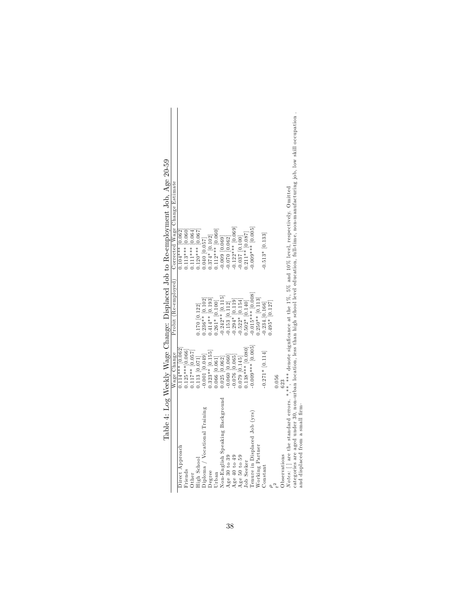|                                                                                                                                  |                     |                      | Taple +: Tok Meekly Mage Change: Displaced Job to Re-employment Job, Age 20-59                                                   |
|----------------------------------------------------------------------------------------------------------------------------------|---------------------|----------------------|----------------------------------------------------------------------------------------------------------------------------------|
|                                                                                                                                  | Wage Change         | Probit (Re-employed) | Corrected Wage Change Estimate                                                                                                   |
| Direct Approach                                                                                                                  | $0.114***$ [0.062]  |                      | $0.104***$ [0.062]                                                                                                               |
| Friends                                                                                                                          | $0.125***$ [0.066]  |                      | $0.113***$ [0.060]                                                                                                               |
| Other                                                                                                                            | $0.117***$ [0.057]  |                      | $0.111***$ [0.064]                                                                                                               |
| High School                                                                                                                      | $0.113$ $[0.071]$   | $0.170$ $[0.122]$    | $0.120***$ [0.067]                                                                                                               |
| Diploma / Vocational Training                                                                                                    | $-0.001$ [0.049]    | $0.236**$ [0.102]    | 0.040 [0.057]                                                                                                                    |
| Degree                                                                                                                           | $0.323**$ $[0.155]$ | $0.414**$ [0.193]    | $0.374*[0.102]$<br>$0.112***[0.060]$                                                                                             |
| Urban                                                                                                                            | $0.066$ [0.061]     | $0.261*$ [0.100]     |                                                                                                                                  |
| Non-English Speaking Background                                                                                                  | $0.025$ $[0.062]$   | $-0.242**$ [0.115]   | $[0.009]$ $[0.069]$                                                                                                              |
| Age 30 to 39                                                                                                                     | $0.060$ [0.060]     | $-0.153$ $[0.112]$   | $-0.070$ $[0.062]$                                                                                                               |
| Age 40 to 49                                                                                                                     | $-0.076$ $[0.065]$  | $-0.294*$ [0.119]    | $-0.122***$ [0.069]                                                                                                              |
| Age 50 to 59                                                                                                                     | $0.079$ $[0.145]$   | $-0.522*$ [0.154]    | $-0.037$ $[0.100]$                                                                                                               |
| Job Seeker                                                                                                                       | $0.138***$ [0.080]  | $0.502*$ $[0.140]$   | $0.211**$ [0.087]                                                                                                                |
| Tenure in Displaced Job (yrs)                                                                                                    | $-0.009***$ [0.005] | $-0.015***$ [0.008]  | $0.005$ *** [0.005]                                                                                                              |
| Working Partner                                                                                                                  |                     | $0.250**$ [0.113]    |                                                                                                                                  |
| Constant                                                                                                                         | $-0.271*$ [0.114]   | $-0.234.$ $[0.166]$  | $-0.513*$ [0.133]                                                                                                                |
|                                                                                                                                  |                     | $0.495*$ [0.127]     |                                                                                                                                  |
|                                                                                                                                  | 0.056               |                      |                                                                                                                                  |
| Observations                                                                                                                     | 623                 |                      |                                                                                                                                  |
| <i>Notes:</i> $\lceil$ are the standard errors. *,**, *** denote significance at the 1%, 5% and 10% level, respectively. Omitted |                     |                      |                                                                                                                                  |
|                                                                                                                                  |                     |                      | esteroise are ander 30 non-whan loetion less than high school level education full-time non-mamfacturing ich low skill counstion |

ge. Displaced Job to Be-employment Job Age 20-59 Table 4: Log Weekly Wage Change: Displaced Job to Re-employment Job, Age 20-59 Table 4: Log Weekly Wage Chan

categories are aged under 30, non-urban location, less than high scho ol level education, full-time, non-m anufacturing job, low skill occupation . skill occupation. turing job, low manutac school level education, full-time, nonthan high  $_{less}$ categories are aged under 30, non-urban location, and displaced from a small firm. and displaced from a sm all Örm

38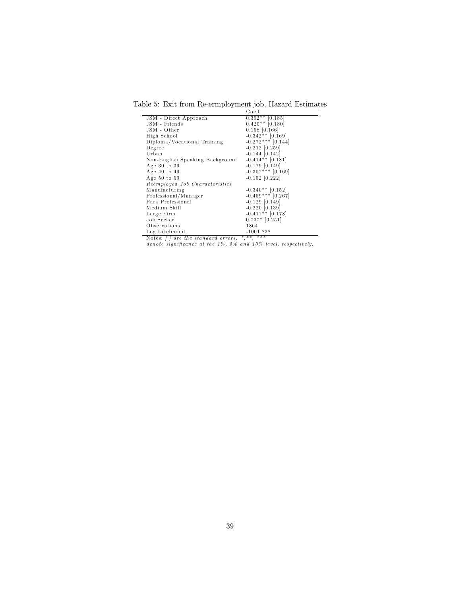Table 5: Exit from Re-ermployment job, Hazard Estimates

|                                 | Coeff               |
|---------------------------------|---------------------|
| JSM - Direct Approach           | $0.392**$ [0.185]   |
| JSM - Friends                   | $0.420**$ [0.180]   |
| JSM - Other                     | $0.158$ [0.166]     |
| High School                     | $-0.342**$ [0.169]  |
| Diploma/Vocational Training     | $-0.272***$ [0.144] |
| Degree                          | $-0.212$ [0.259]    |
| Urban                           | $-0.144$ [0.142]    |
| Non-English Speaking Background | $-0.414**$ [0.181]  |
| Age 30 to 39                    | $-0.179$ [0.149]    |
| Age $40$ to $49$                | $-0.307***$ [0.169] |
| Age $50$ to $59$                | $-0.152$ [0.222]    |
| Reemployed Job Characteristics  |                     |
| Manufacturing                   | $-0.340**$ [0.152]  |
| Professional/Manager            | $-0.459***$ [0.267] |
| Para Professional               | $-0.129$ [0.149]    |
| Medium Skill                    | $-0.220$ [0.139]    |
| Large Firm                      | $-0.411**$ [0.178]  |
| Job Seeker                      | $0.737*$ [0.251]    |
| Observations                    | 1864                |
| Log Likelihood                  | $-1001.838$         |

Notes: [ ] are the standard errors. \*,\*\*, \*\*\*<br>denote significance at the 1%, 5% and 10% level, respectively.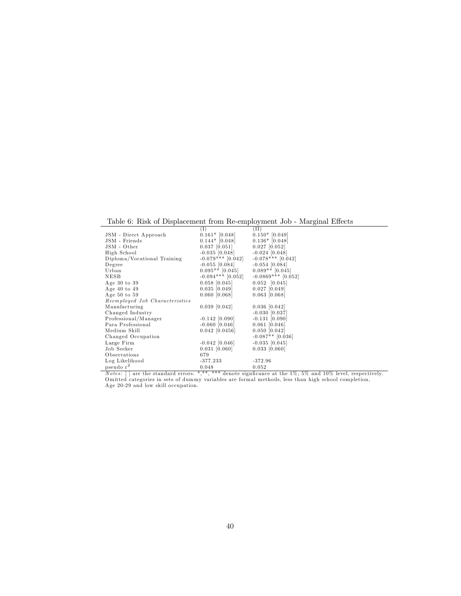Table 6: Risk of Displacement from Re-employment Job - Marginal Effects

|                                | (I)                 | (II)                  |
|--------------------------------|---------------------|-----------------------|
| JSM - Direct Approach          | $0.161*$ [0.048]    | $0.150*$ [0.049]      |
| JSM - Friends                  | $0.144*$ [0.048]    | $0.136*$ [0.048]      |
| JSM - Other                    | $0.037$ [0.051]     | $0.027$ [0.052]       |
| High School                    | $-0.035$ [0.048]    | $-0.024$ [0.048]      |
| Diploma/Vocational Training    | $-0.079***$ [0.042] | $-0.078***$ [0.042]   |
| Degree                         | $-0.055$ [0.084]    | $-0.054$ [0.084]      |
| Urban                          | $0.095**$ [0.045]   | $0.089**$ [0.045]     |
| NESB                           | $-0.094***$ [0.052] | $-0.0869***$ [0.052]  |
| Age $30$ to $39$               | $0.058$ [0.045]     | $0.052 \quad [0.045]$ |
| Age $40$ to $49$               | $0.035$ [0.049]     | $0.027$ [0.049]       |
| Age $50$ to $59$               | $0.060$ [0.068]     | $0.063$ [0.068]       |
| Reemployed Job Characteristics |                     |                       |
| Manufacturing                  | $0.039$ [0.042]     | $0.036$ [0.042]       |
| Changed Industry               |                     | $-0.030$ [0.037]      |
| Professional/Manager           | $-0.142$ [0.090]    | $-0.131$ [0.090]      |
| Para Professional              | $-0.060$ [0.046]    | $0.061$ [0.046]       |
| Medium Skill                   | $0.042$ [0.0456]    | $0.050$ [0.042]       |
| Changed Occupation             |                     | $-0.087**$ [0.036]    |
| Large Firm                     | $-0.042$ [0.046]    | $-0.035$ [0.045]      |
| Job Seeker                     | $0.031$ [0.060]     | $0.033$ [0.060]       |
| Observations                   | 679                 |                       |
| Log Likelihood                 | $-377.233$          | $-372.96$             |
| pseudo r <sup>2</sup>          | 0.048               | 0.052                 |
|                                |                     |                       |

*Notes:* [] are the standard errors. \*,\*\*,\*\*\*\* denote signficance at the  $1\%$ , 5% and  $10\%$  level, respectively.<br>Omitted categories in sets of dummy variables are formal methods, less than high school completion,<br>Age 20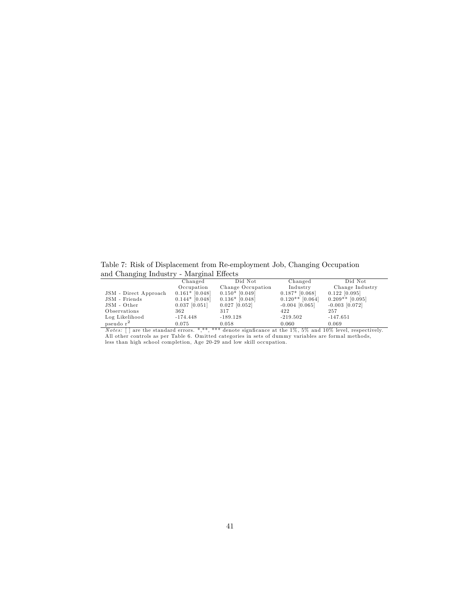Table 7: Risk of Displacement from Re-employment Job, Changing Occupation and Changing Industry - Marginal Effects

| $\cdot$<br>$\overline{\phantom{a}}$ |                  |                   |                   |                   |
|-------------------------------------|------------------|-------------------|-------------------|-------------------|
|                                     | Changed          | Did Not           | Changed           | Did Not           |
|                                     | Occupation       | Change Occupation | Industry          | Change Industry   |
| JSM - Direct Approach               | $0.161*$ [0.048] | $0.150*$ [0.049]  | $0.187*$ [0.068]  | $0.122$ [0.095]   |
| JSM - Friends                       | $0.144*$ [0.048] | $0.136*$ [0.048]  | $0.120**$ [0.064] | $0.209**$ [0.095] |
| JSM - Other                         | $0.037$ [0.051]  | $0.027$ [0.052]   | $-0.004$ [0.065]  | $-0.003$ [0.072]  |
| Observations                        | 362              | 317               | 422               | 257               |
| Log Likelihood                      | $-174.448$       | $-189.128$        | $-219.502$        | $-147.651$        |
| pseudo r <sup>2</sup>               | 0.075            | 0.058             | 0.060             | 0.069             |

*Notes:* [] are the standard errors. \*,\*\*,\*\*\*\* denote signficance at the 1%, 5% and 10% level, respectively. All other controls as per Table 6. Omitted categories in sets of dummy variables are formal methods, less than high school completion, Age 20-29 and low skill occupation.